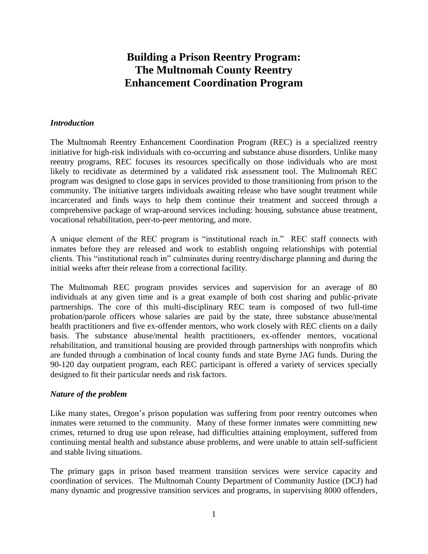# **Building a Prison Reentry Program: The Multnomah County Reentry Enhancement Coordination Program**

#### *Introduction*

The Multnomah Reentry Enhancement Coordination Program (REC) is a specialized reentry initiative for high-risk individuals with co-occurring and substance abuse disorders. Unlike many reentry programs, REC focuses its resources specifically on those individuals who are most likely to recidivate as determined by a validated risk assessment tool. The Multnomah REC program was designed to close gaps in services provided to those transitioning from prison to the community. The initiative targets individuals awaiting release who have sought treatment while incarcerated and finds ways to help them continue their treatment and succeed through a comprehensive package of wrap-around services including: housing, substance abuse treatment, vocational rehabilitation, peer-to-peer mentoring, and more.

A unique element of the REC program is "institutional reach in." REC staff connects with inmates before they are released and work to establish ongoing relationships with potential clients. This "institutional reach in" culminates during reentry/discharge planning and during the initial weeks after their release from a correctional facility.

The Multnomah REC program provides services and supervision for an average of 80 individuals at any given time and is a great example of both cost sharing and public-private partnerships. The core of this multi-disciplinary REC team is composed of two full-time probation/parole officers whose salaries are paid by the state, three substance abuse/mental health practitioners and five ex-offender mentors, who work closely with REC clients on a daily basis. The substance abuse/mental health practitioners, ex-offender mentors, vocational rehabilitation, and transitional housing are provided through partnerships with nonprofits which are funded through a combination of local county funds and state Byrne JAG funds. During the 90-120 day outpatient program, each REC participant is offered a variety of services specially designed to fit their particular needs and risk factors.

#### *Nature of the problem*

Like many states, Oregon's prison population was suffering from poor reentry outcomes when inmates were returned to the community. Many of these former inmates were committing new crimes, returned to drug use upon release, had difficulties attaining employment, suffered from continuing mental health and substance abuse problems, and were unable to attain self-sufficient and stable living situations.

The primary gaps in prison based treatment transition services were service capacity and coordination of services. The Multnomah County Department of Community Justice (DCJ) had many dynamic and progressive transition services and programs, in supervising 8000 offenders,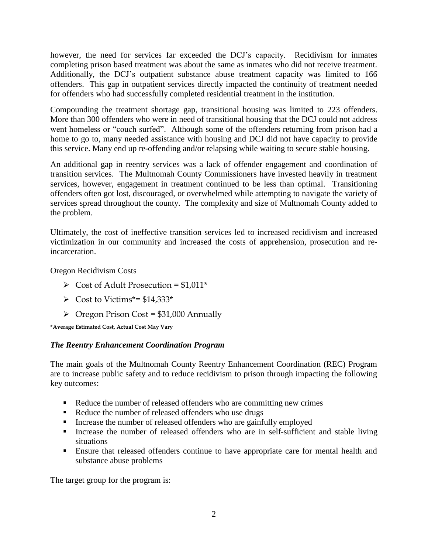however, the need for services far exceeded the DCJ's capacity. Recidivism for inmates completing prison based treatment was about the same as inmates who did not receive treatment. Additionally, the DCJ's outpatient substance abuse treatment capacity was limited to 166 offenders. This gap in outpatient services directly impacted the continuity of treatment needed for offenders who had successfully completed residential treatment in the institution.

Compounding the treatment shortage gap, transitional housing was limited to 223 offenders. More than 300 offenders who were in need of transitional housing that the DCJ could not address went homeless or "couch surfed". Although some of the offenders returning from prison had a home to go to, many needed assistance with housing and DCJ did not have capacity to provide this service. Many end up re-offending and/or relapsing while waiting to secure stable housing.

An additional gap in reentry services was a lack of offender engagement and coordination of transition services. The Multnomah County Commissioners have invested heavily in treatment services, however, engagement in treatment continued to be less than optimal. Transitioning offenders often got lost, discouraged, or overwhelmed while attempting to navigate the variety of services spread throughout the county. The complexity and size of Multnomah County added to the problem.

Ultimately, the cost of ineffective transition services led to increased recidivism and increased victimization in our community and increased the costs of apprehension, prosecution and reincarceration.

Oregon Recidivism Costs

- $\triangleright$  Cost of Adult Prosecution = \$1,011\*
- $\triangleright$  Cost to Victims\*= \$14,333\*
- $\triangleright$  Oregon Prison Cost = \$31,000 Annually

**\*Average Estimated Cost, Actual Cost May Vary**

## *The Reentry Enhancement Coordination Program*

The main goals of the Multnomah County Reentry Enhancement Coordination (REC) Program are to increase public safety and to reduce recidivism to prison through impacting the following key outcomes:

- Reduce the number of released offenders who are committing new crimes
- Reduce the number of released offenders who use drugs
- Increase the number of released offenders who are gainfully employed
- Increase the number of released offenders who are in self-sufficient and stable living situations
- Ensure that released offenders continue to have appropriate care for mental health and substance abuse problems

The target group for the program is: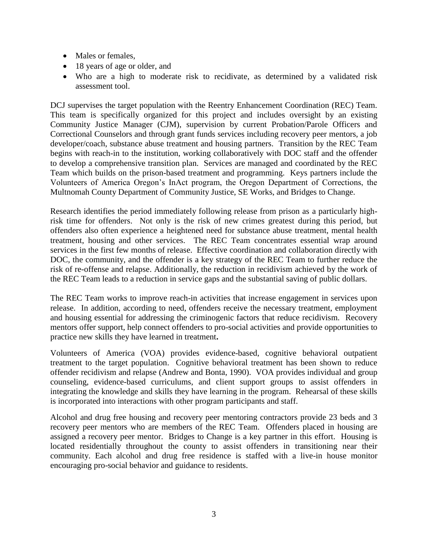- Males or females,
- 18 years of age or older, and
- Who are a high to moderate risk to recidivate, as determined by a validated risk assessment tool.

DCJ supervises the target population with the Reentry Enhancement Coordination (REC) Team. This team is specifically organized for this project and includes oversight by an existing Community Justice Manager (CJM), supervision by current Probation/Parole Officers and Correctional Counselors and through grant funds services including recovery peer mentors, a job developer/coach, substance abuse treatment and housing partners. Transition by the REC Team begins with reach-in to the institution, working collaboratively with DOC staff and the offender to develop a comprehensive transition plan. Services are managed and coordinated by the REC Team which builds on the prison-based treatment and programming. Keys partners include the Volunteers of America Oregon's InAct program, the Oregon Department of Corrections, the Multnomah County Department of Community Justice, SE Works, and Bridges to Change.

Research identifies the period immediately following release from prison as a particularly highrisk time for offenders. Not only is the risk of new crimes greatest during this period, but offenders also often experience a heightened need for substance abuse treatment, mental health treatment, housing and other services. The REC Team concentrates essential wrap around services in the first few months of release. Effective coordination and collaboration directly with DOC, the community, and the offender is a key strategy of the REC Team to further reduce the risk of re-offense and relapse. Additionally, the reduction in recidivism achieved by the work of the REC Team leads to a reduction in service gaps and the substantial saving of public dollars.

The REC Team works to improve reach-in activities that increase engagement in services upon release. In addition, according to need, offenders receive the necessary treatment, employment and housing essential for addressing the criminogenic factors that reduce recidivism. Recovery mentors offer support, help connect offenders to pro-social activities and provide opportunities to practice new skills they have learned in treatment**.** 

Volunteers of America (VOA) provides evidence-based, cognitive behavioral outpatient treatment to the target population. Cognitive behavioral treatment has been shown to reduce offender recidivism and relapse (Andrew and Bonta, 1990). VOA provides individual and group counseling, evidence-based curriculums, and client support groups to assist offenders in integrating the knowledge and skills they have learning in the program. Rehearsal of these skills is incorporated into interactions with other program participants and staff.

Alcohol and drug free housing and recovery peer mentoring contractors provide 23 beds and 3 recovery peer mentors who are members of the REC Team. Offenders placed in housing are assigned a recovery peer mentor. Bridges to Change is a key partner in this effort. Housing is located residentially throughout the county to assist offenders in transitioning near their community. Each alcohol and drug free residence is staffed with a live-in house monitor encouraging pro-social behavior and guidance to residents.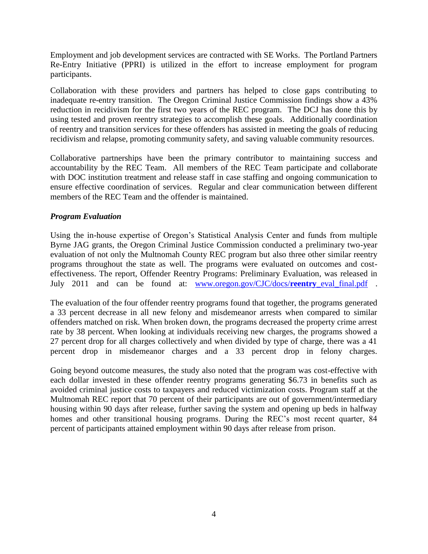Employment and job development services are contracted with SE Works. The Portland Partners Re-Entry Initiative (PPRI) is utilized in the effort to increase employment for program participants.

Collaboration with these providers and partners has helped to close gaps contributing to inadequate re-entry transition. The Oregon Criminal Justice Commission findings show a 43% reduction in recidivism for the first two years of the REC program. The DCJ has done this by using tested and proven reentry strategies to accomplish these goals. Additionally coordination of reentry and transition services for these offenders has assisted in meeting the goals of reducing recidivism and relapse, promoting community safety, and saving valuable community resources.

Collaborative partnerships have been the primary contributor to maintaining success and accountability by the REC Team. All members of the REC Team participate and collaborate with DOC institution treatment and release staff in case staffing and ongoing communication to ensure effective coordination of services. Regular and clear communication between different members of the REC Team and the offender is maintained.

#### *Program Evaluation*

Using the in-house expertise of Oregon's Statistical Analysis Center and funds from multiple Byrne JAG grants, the Oregon Criminal Justice Commission conducted a preliminary two-year evaluation of not only the Multnomah County REC program but also three other similar reentry programs throughout the state as well. The programs were evaluated on outcomes and costeffectiveness. The report, Offender Reentry Programs: Preliminary Evaluation, was released in July 2011 and can be found at: [www.oregon.gov/CJC/docs/](http://www.oregon.gov/CJC/docs/reentry_eval_final.pdf)**reentry**\_eval\_final.pdf .

The evaluation of the four offender reentry programs found that together, the programs generated a 33 percent decrease in all new felony and misdemeanor arrests when compared to similar offenders matched on risk. When broken down, the programs decreased the property crime arrest rate by 38 percent. When looking at individuals receiving new charges, the programs showed a 27 percent drop for all charges collectively and when divided by type of charge, there was a 41 percent drop in misdemeanor charges and a 33 percent drop in felony charges.

Going beyond outcome measures, the study also noted that the program was cost-effective with each dollar invested in these offender reentry programs generating \$6.73 in benefits such as avoided criminal justice costs to taxpayers and reduced victimization costs. Program staff at the Multnomah REC report that 70 percent of their participants are out of government/intermediary housing within 90 days after release, further saving the system and opening up beds in halfway homes and other transitional housing programs. During the REC's most recent quarter, 84 percent of participants attained employment within 90 days after release from prison.